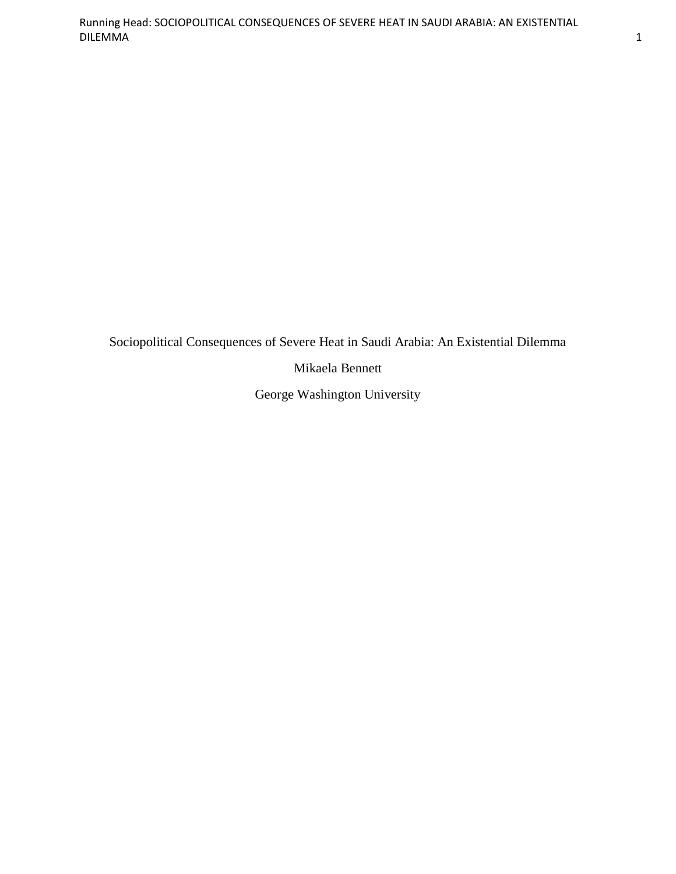Sociopolitical Consequences of Severe Heat in Saudi Arabia: An Existential Dilemma

Mikaela Bennett

George Washington University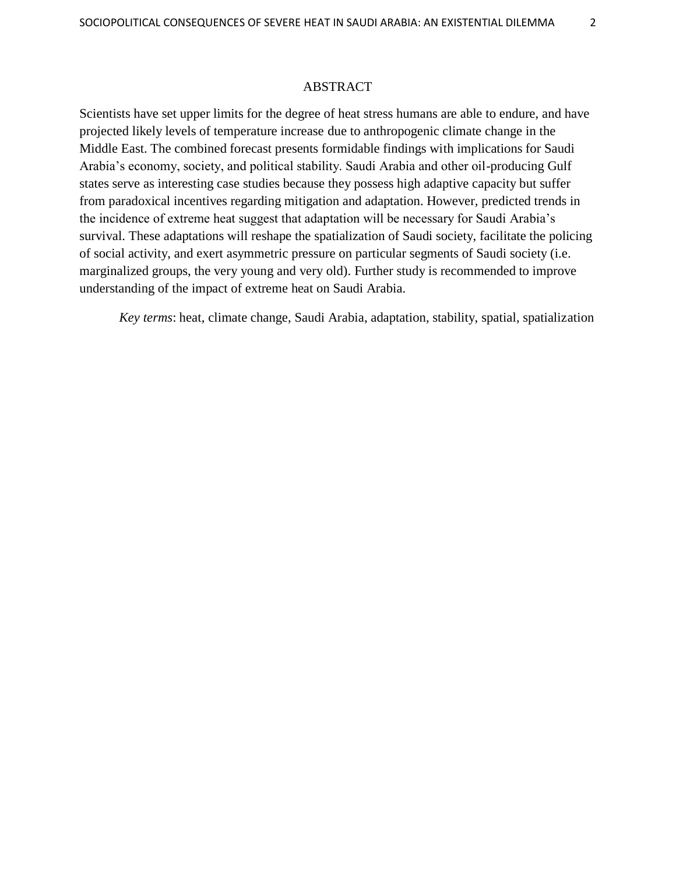### ABSTRACT

Scientists have set upper limits for the degree of heat stress humans are able to endure, and have projected likely levels of temperature increase due to anthropogenic climate change in the Middle East. The combined forecast presents formidable findings with implications for Saudi Arabia"s economy, society, and political stability. Saudi Arabia and other oil-producing Gulf states serve as interesting case studies because they possess high adaptive capacity but suffer from paradoxical incentives regarding mitigation and adaptation. However, predicted trends in the incidence of extreme heat suggest that adaptation will be necessary for Saudi Arabia"s survival. These adaptations will reshape the spatialization of Saudi society, facilitate the policing of social activity, and exert asymmetric pressure on particular segments of Saudi society (i.e. marginalized groups, the very young and very old). Further study is recommended to improve understanding of the impact of extreme heat on Saudi Arabia.

*Key terms*: heat, climate change, Saudi Arabia, adaptation, stability, spatial, spatialization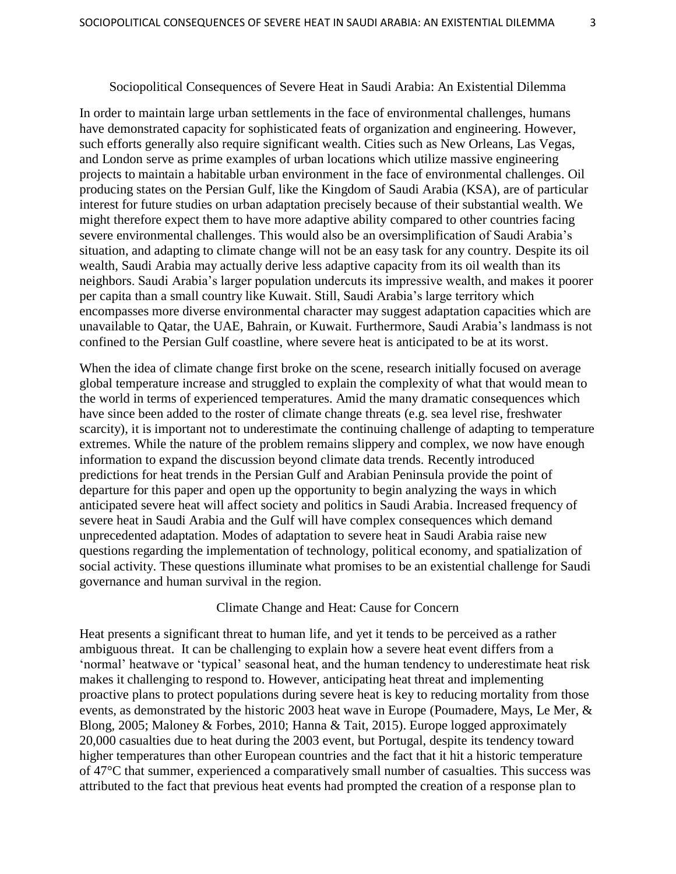#### Sociopolitical Consequences of Severe Heat in Saudi Arabia: An Existential Dilemma

In order to maintain large urban settlements in the face of environmental challenges, humans have demonstrated capacity for sophisticated feats of organization and engineering. However, such efforts generally also require significant wealth. Cities such as New Orleans, Las Vegas, and London serve as prime examples of urban locations which utilize massive engineering projects to maintain a habitable urban environment in the face of environmental challenges. Oil producing states on the Persian Gulf, like the Kingdom of Saudi Arabia (KSA), are of particular interest for future studies on urban adaptation precisely because of their substantial wealth. We might therefore expect them to have more adaptive ability compared to other countries facing severe environmental challenges. This would also be an oversimplification of Saudi Arabia"s situation, and adapting to climate change will not be an easy task for any country. Despite its oil wealth, Saudi Arabia may actually derive less adaptive capacity from its oil wealth than its neighbors. Saudi Arabia"s larger population undercuts its impressive wealth, and makes it poorer per capita than a small country like Kuwait. Still, Saudi Arabia"s large territory which encompasses more diverse environmental character may suggest adaptation capacities which are unavailable to Qatar, the UAE, Bahrain, or Kuwait. Furthermore, Saudi Arabia"s landmass is not confined to the Persian Gulf coastline, where severe heat is anticipated to be at its worst.

When the idea of climate change first broke on the scene, research initially focused on average global temperature increase and struggled to explain the complexity of what that would mean to the world in terms of experienced temperatures. Amid the many dramatic consequences which have since been added to the roster of climate change threats (e.g. sea level rise, freshwater scarcity), it is important not to underestimate the continuing challenge of adapting to temperature extremes. While the nature of the problem remains slippery and complex, we now have enough information to expand the discussion beyond climate data trends. Recently introduced predictions for heat trends in the Persian Gulf and Arabian Peninsula provide the point of departure for this paper and open up the opportunity to begin analyzing the ways in which anticipated severe heat will affect society and politics in Saudi Arabia. Increased frequency of severe heat in Saudi Arabia and the Gulf will have complex consequences which demand unprecedented adaptation. Modes of adaptation to severe heat in Saudi Arabia raise new questions regarding the implementation of technology, political economy, and spatialization of social activity. These questions illuminate what promises to be an existential challenge for Saudi governance and human survival in the region.

## Climate Change and Heat: Cause for Concern

Heat presents a significant threat to human life, and yet it tends to be perceived as a rather ambiguous threat. It can be challenging to explain how a severe heat event differs from a 'normal' heatwave or 'typical' seasonal heat, and the human tendency to underestimate heat risk makes it challenging to respond to. However, anticipating heat threat and implementing proactive plans to protect populations during severe heat is key to reducing mortality from those events, as demonstrated by the historic 2003 heat wave in Europe (Poumadere, Mays, Le Mer, & Blong, 2005; Maloney & Forbes, 2010; Hanna & Tait, 2015). Europe logged approximately 20,000 casualties due to heat during the 2003 event, but Portugal, despite its tendency toward higher temperatures than other European countries and the fact that it hit a historic temperature of 47°C that summer, experienced a comparatively small number of casualties. This success was attributed to the fact that previous heat events had prompted the creation of a response plan to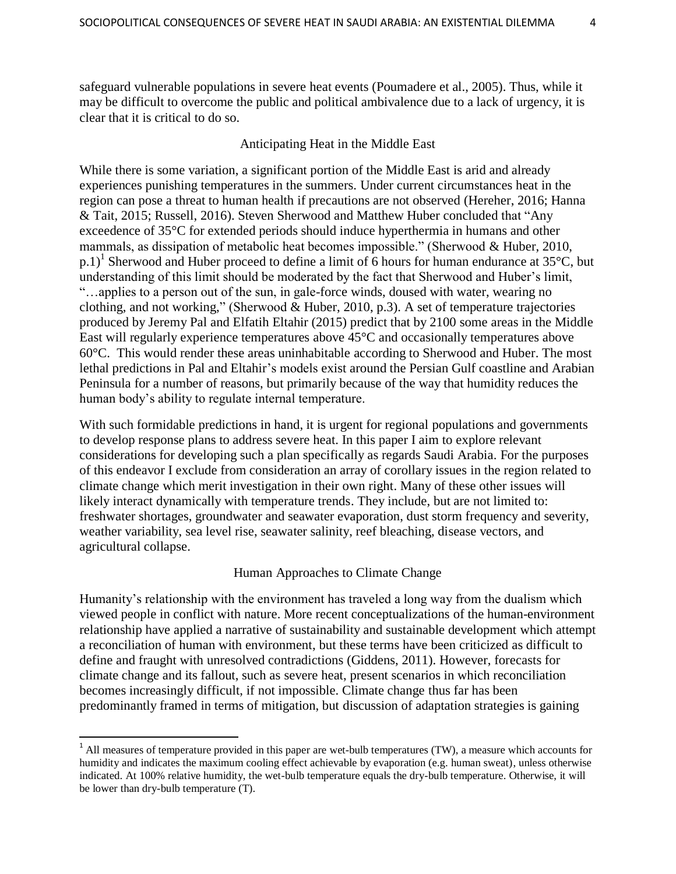safeguard vulnerable populations in severe heat events (Poumadere et al., 2005). Thus, while it may be difficult to overcome the public and political ambivalence due to a lack of urgency, it is clear that it is critical to do so.

# Anticipating Heat in the Middle East

While there is some variation, a significant portion of the Middle East is arid and already experiences punishing temperatures in the summers. Under current circumstances heat in the region can pose a threat to human health if precautions are not observed (Hereher, 2016; Hanna & Tait, 2015; Russell, 2016). Steven Sherwood and Matthew Huber concluded that "Any exceedence of 35°C for extended periods should induce hyperthermia in humans and other mammals, as dissipation of metabolic heat becomes impossible." (Sherwood & Huber, 2010, p.1)<sup>1</sup> Sherwood and Huber proceed to define a limit of 6 hours for human endurance at 35 $^{\circ}$ C, but understanding of this limit should be moderated by the fact that Sherwood and Huber's limit, "…applies to a person out of the sun, in gale-force winds, doused with water, wearing no clothing, and not working," (Sherwood & Huber, 2010, p.3). A set of temperature trajectories produced by Jeremy Pal and Elfatih Eltahir (2015) predict that by 2100 some areas in the Middle East will regularly experience temperatures above 45°C and occasionally temperatures above 60°C. This would render these areas uninhabitable according to Sherwood and Huber. The most lethal predictions in Pal and Eltahir"s models exist around the Persian Gulf coastline and Arabian Peninsula for a number of reasons, but primarily because of the way that humidity reduces the human body"s ability to regulate internal temperature.

With such formidable predictions in hand, it is urgent for regional populations and governments to develop response plans to address severe heat. In this paper I aim to explore relevant considerations for developing such a plan specifically as regards Saudi Arabia. For the purposes of this endeavor I exclude from consideration an array of corollary issues in the region related to climate change which merit investigation in their own right. Many of these other issues will likely interact dynamically with temperature trends. They include, but are not limited to: freshwater shortages, groundwater and seawater evaporation, dust storm frequency and severity, weather variability, sea level rise, seawater salinity, reef bleaching, disease vectors, and agricultural collapse.

# Human Approaches to Climate Change

Humanity"s relationship with the environment has traveled a long way from the dualism which viewed people in conflict with nature. More recent conceptualizations of the human-environment relationship have applied a narrative of sustainability and sustainable development which attempt a reconciliation of human with environment, but these terms have been criticized as difficult to define and fraught with unresolved contradictions (Giddens, 2011). However, forecasts for climate change and its fallout, such as severe heat, present scenarios in which reconciliation becomes increasingly difficult, if not impossible. Climate change thus far has been predominantly framed in terms of mitigation, but discussion of adaptation strategies is gaining

 $\overline{a}$ 

<sup>&</sup>lt;sup>1</sup> All measures of temperature provided in this paper are wet-bulb temperatures (TW), a measure which accounts for humidity and indicates the maximum cooling effect achievable by evaporation (e.g. human sweat), unless otherwise indicated. At 100% relative humidity, the wet-bulb temperature equals the dry-bulb temperature. Otherwise, it will be lower than dry-bulb temperature (T).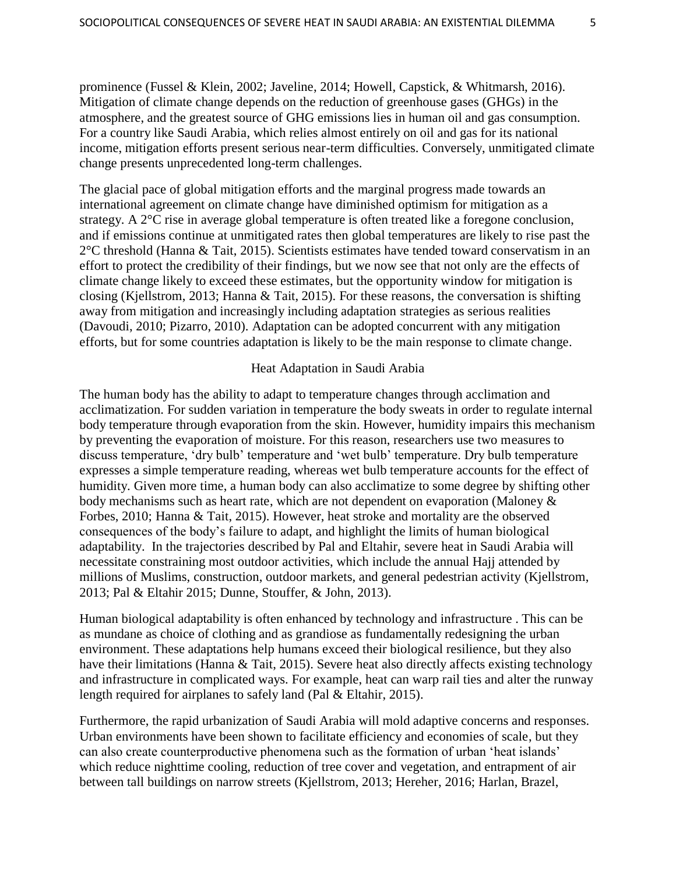prominence (Fussel & Klein, 2002; Javeline, 2014; Howell, Capstick, & Whitmarsh, 2016). Mitigation of climate change depends on the reduction of greenhouse gases (GHGs) in the atmosphere, and the greatest source of GHG emissions lies in human oil and gas consumption. For a country like Saudi Arabia, which relies almost entirely on oil and gas for its national income, mitigation efforts present serious near-term difficulties. Conversely, unmitigated climate change presents unprecedented long-term challenges.

The glacial pace of global mitigation efforts and the marginal progress made towards an international agreement on climate change have diminished optimism for mitigation as a strategy. A 2°C rise in average global temperature is often treated like a foregone conclusion, and if emissions continue at unmitigated rates then global temperatures are likely to rise past the 2°C threshold (Hanna & Tait, 2015). Scientists estimates have tended toward conservatism in an effort to protect the credibility of their findings, but we now see that not only are the effects of climate change likely to exceed these estimates, but the opportunity window for mitigation is closing (Kjellstrom, 2013; Hanna & Tait, 2015). For these reasons, the conversation is shifting away from mitigation and increasingly including adaptation strategies as serious realities (Davoudi, 2010; Pizarro, 2010). Adaptation can be adopted concurrent with any mitigation efforts, but for some countries adaptation is likely to be the main response to climate change.

#### Heat Adaptation in Saudi Arabia

The human body has the ability to adapt to temperature changes through acclimation and acclimatization. For sudden variation in temperature the body sweats in order to regulate internal body temperature through evaporation from the skin. However, humidity impairs this mechanism by preventing the evaporation of moisture. For this reason, researchers use two measures to discuss temperature, 'dry bulb' temperature and 'wet bulb' temperature. Dry bulb temperature expresses a simple temperature reading, whereas wet bulb temperature accounts for the effect of humidity. Given more time, a human body can also acclimatize to some degree by shifting other body mechanisms such as heart rate, which are not dependent on evaporation (Maloney & Forbes, 2010; Hanna & Tait, 2015). However, heat stroke and mortality are the observed consequences of the body"s failure to adapt, and highlight the limits of human biological adaptability. In the trajectories described by Pal and Eltahir, severe heat in Saudi Arabia will necessitate constraining most outdoor activities, which include the annual Hajj attended by millions of Muslims, construction, outdoor markets, and general pedestrian activity (Kjellstrom, 2013; Pal & Eltahir 2015; Dunne, Stouffer, & John, 2013).

Human biological adaptability is often enhanced by technology and infrastructure . This can be as mundane as choice of clothing and as grandiose as fundamentally redesigning the urban environment. These adaptations help humans exceed their biological resilience, but they also have their limitations (Hanna & Tait, 2015). Severe heat also directly affects existing technology and infrastructure in complicated ways. For example, heat can warp rail ties and alter the runway length required for airplanes to safely land (Pal & Eltahir, 2015).

Furthermore, the rapid urbanization of Saudi Arabia will mold adaptive concerns and responses. Urban environments have been shown to facilitate efficiency and economies of scale, but they can also create counterproductive phenomena such as the formation of urban "heat islands" which reduce nighttime cooling, reduction of tree cover and vegetation, and entrapment of air between tall buildings on narrow streets (Kjellstrom, 2013; Hereher, 2016; Harlan, Brazel,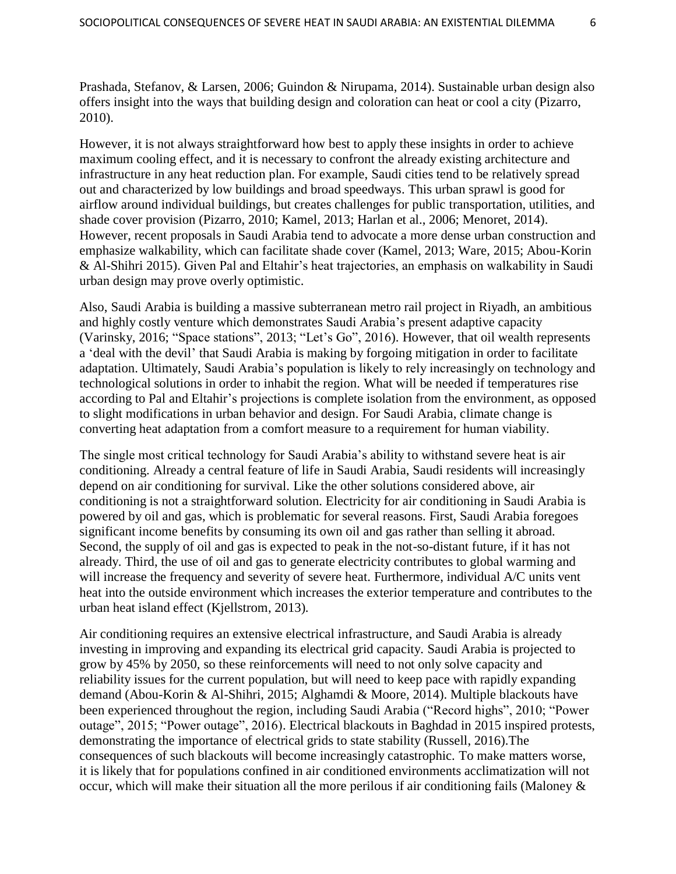Prashada, Stefanov, & Larsen, 2006; Guindon & Nirupama, 2014). Sustainable urban design also offers insight into the ways that building design and coloration can heat or cool a city (Pizarro, 2010).

However, it is not always straightforward how best to apply these insights in order to achieve maximum cooling effect, and it is necessary to confront the already existing architecture and infrastructure in any heat reduction plan. For example, Saudi cities tend to be relatively spread out and characterized by low buildings and broad speedways. This urban sprawl is good for airflow around individual buildings, but creates challenges for public transportation, utilities, and shade cover provision (Pizarro, 2010; Kamel, 2013; Harlan et al., 2006; Menoret, 2014). However, recent proposals in Saudi Arabia tend to advocate a more dense urban construction and emphasize walkability, which can facilitate shade cover (Kamel, 2013; Ware, 2015; Abou-Korin & Al-Shihri 2015). Given Pal and Eltahir"s heat trajectories, an emphasis on walkability in Saudi urban design may prove overly optimistic.

Also, Saudi Arabia is building a massive subterranean metro rail project in Riyadh, an ambitious and highly costly venture which demonstrates Saudi Arabia"s present adaptive capacity (Varinsky, 2016; "Space stations", 2013; "Let"s Go", 2016). However, that oil wealth represents a "deal with the devil" that Saudi Arabia is making by forgoing mitigation in order to facilitate adaptation. Ultimately, Saudi Arabia"s population is likely to rely increasingly on technology and technological solutions in order to inhabit the region. What will be needed if temperatures rise according to Pal and Eltahir"s projections is complete isolation from the environment, as opposed to slight modifications in urban behavior and design. For Saudi Arabia, climate change is converting heat adaptation from a comfort measure to a requirement for human viability.

The single most critical technology for Saudi Arabia"s ability to withstand severe heat is air conditioning. Already a central feature of life in Saudi Arabia, Saudi residents will increasingly depend on air conditioning for survival. Like the other solutions considered above, air conditioning is not a straightforward solution. Electricity for air conditioning in Saudi Arabia is powered by oil and gas, which is problematic for several reasons. First, Saudi Arabia foregoes significant income benefits by consuming its own oil and gas rather than selling it abroad. Second, the supply of oil and gas is expected to peak in the not-so-distant future, if it has not already. Third, the use of oil and gas to generate electricity contributes to global warming and will increase the frequency and severity of severe heat. Furthermore, individual A/C units vent heat into the outside environment which increases the exterior temperature and contributes to the urban heat island effect (Kjellstrom, 2013).

Air conditioning requires an extensive electrical infrastructure, and Saudi Arabia is already investing in improving and expanding its electrical grid capacity. Saudi Arabia is projected to grow by 45% by 2050, so these reinforcements will need to not only solve capacity and reliability issues for the current population, but will need to keep pace with rapidly expanding demand (Abou-Korin & Al-Shihri, 2015; Alghamdi & Moore, 2014). Multiple blackouts have been experienced throughout the region, including Saudi Arabia ("Record highs", 2010; "Power outage", 2015; "Power outage", 2016). Electrical blackouts in Baghdad in 2015 inspired protests, demonstrating the importance of electrical grids to state stability (Russell, 2016).The consequences of such blackouts will become increasingly catastrophic. To make matters worse, it is likely that for populations confined in air conditioned environments acclimatization will not occur, which will make their situation all the more perilous if air conditioning fails (Maloney &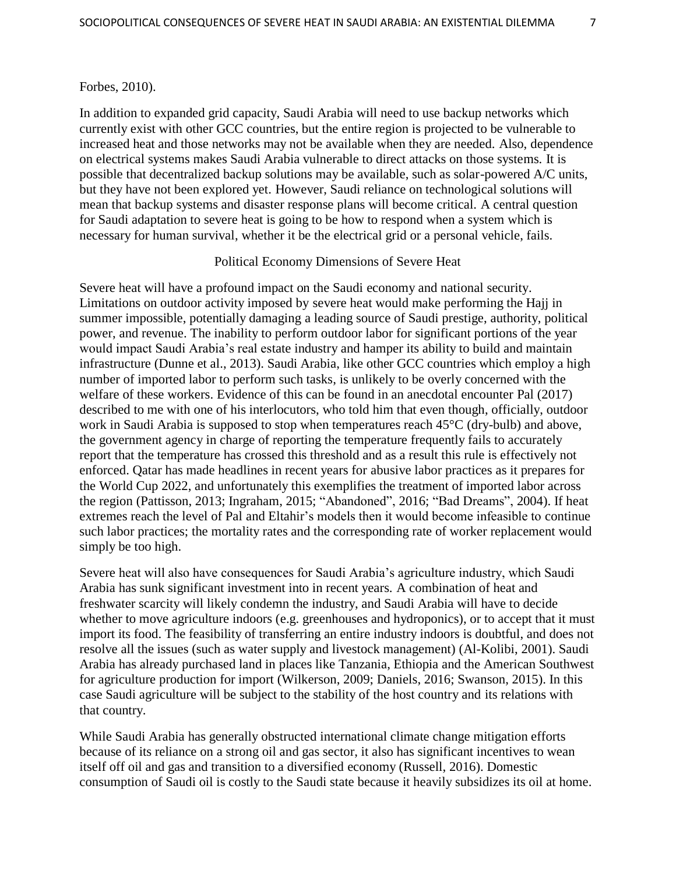#### Forbes, 2010).

In addition to expanded grid capacity, Saudi Arabia will need to use backup networks which currently exist with other GCC countries, but the entire region is projected to be vulnerable to increased heat and those networks may not be available when they are needed. Also, dependence on electrical systems makes Saudi Arabia vulnerable to direct attacks on those systems. It is possible that decentralized backup solutions may be available, such as solar-powered A/C units, but they have not been explored yet. However, Saudi reliance on technological solutions will mean that backup systems and disaster response plans will become critical. A central question for Saudi adaptation to severe heat is going to be how to respond when a system which is necessary for human survival, whether it be the electrical grid or a personal vehicle, fails.

# Political Economy Dimensions of Severe Heat

Severe heat will have a profound impact on the Saudi economy and national security. Limitations on outdoor activity imposed by severe heat would make performing the Hajj in summer impossible, potentially damaging a leading source of Saudi prestige, authority, political power, and revenue. The inability to perform outdoor labor for significant portions of the year would impact Saudi Arabia"s real estate industry and hamper its ability to build and maintain infrastructure (Dunne et al., 2013). Saudi Arabia, like other GCC countries which employ a high number of imported labor to perform such tasks, is unlikely to be overly concerned with the welfare of these workers. Evidence of this can be found in an anecdotal encounter Pal (2017) described to me with one of his interlocutors, who told him that even though, officially, outdoor work in Saudi Arabia is supposed to stop when temperatures reach 45°C (dry-bulb) and above, the government agency in charge of reporting the temperature frequently fails to accurately report that the temperature has crossed this threshold and as a result this rule is effectively not enforced. Qatar has made headlines in recent years for abusive labor practices as it prepares for the World Cup 2022, and unfortunately this exemplifies the treatment of imported labor across the region (Pattisson, 2013; Ingraham, 2015; "Abandoned", 2016; "Bad Dreams", 2004). If heat extremes reach the level of Pal and Eltahir"s models then it would become infeasible to continue such labor practices; the mortality rates and the corresponding rate of worker replacement would simply be too high.

Severe heat will also have consequences for Saudi Arabia"s agriculture industry, which Saudi Arabia has sunk significant investment into in recent years. A combination of heat and freshwater scarcity will likely condemn the industry, and Saudi Arabia will have to decide whether to move agriculture indoors (e.g. greenhouses and hydroponics), or to accept that it must import its food. The feasibility of transferring an entire industry indoors is doubtful, and does not resolve all the issues (such as water supply and livestock management) (Al-Kolibi, 2001). Saudi Arabia has already purchased land in places like Tanzania, Ethiopia and the American Southwest for agriculture production for import (Wilkerson, 2009; Daniels, 2016; Swanson, 2015). In this case Saudi agriculture will be subject to the stability of the host country and its relations with that country.

While Saudi Arabia has generally obstructed international climate change mitigation efforts because of its reliance on a strong oil and gas sector, it also has significant incentives to wean itself off oil and gas and transition to a diversified economy (Russell, 2016). Domestic consumption of Saudi oil is costly to the Saudi state because it heavily subsidizes its oil at home.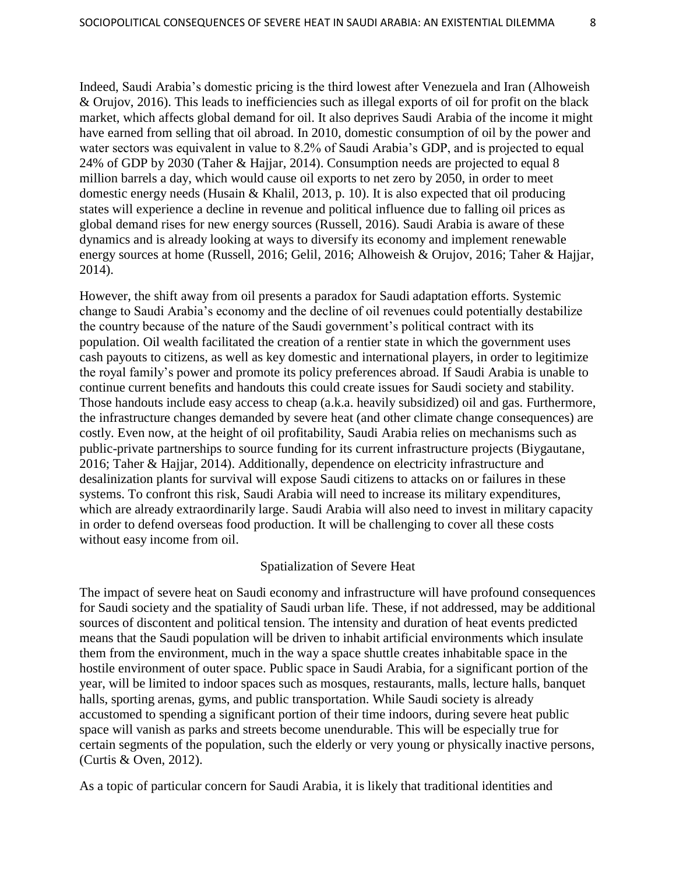Indeed, Saudi Arabia"s domestic pricing is the third lowest after Venezuela and Iran (Alhoweish & Orujov, 2016). This leads to inefficiencies such as illegal exports of oil for profit on the black market, which affects global demand for oil. It also deprives Saudi Arabia of the income it might have earned from selling that oil abroad. In 2010, domestic consumption of oil by the power and water sectors was equivalent in value to 8.2% of Saudi Arabia"s GDP, and is projected to equal 24% of GDP by 2030 (Taher & Hajjar, 2014). Consumption needs are projected to equal 8 million barrels a day, which would cause oil exports to net zero by 2050, in order to meet domestic energy needs (Husain & Khalil, 2013, p. 10). It is also expected that oil producing states will experience a decline in revenue and political influence due to falling oil prices as global demand rises for new energy sources (Russell, 2016). Saudi Arabia is aware of these dynamics and is already looking at ways to diversify its economy and implement renewable energy sources at home (Russell, 2016; Gelil, 2016; Alhoweish & Orujov, 2016; Taher & Hajjar, 2014).

However, the shift away from oil presents a paradox for Saudi adaptation efforts. Systemic change to Saudi Arabia"s economy and the decline of oil revenues could potentially destabilize the country because of the nature of the Saudi government"s political contract with its population. Oil wealth facilitated the creation of a rentier state in which the government uses cash payouts to citizens, as well as key domestic and international players, in order to legitimize the royal family"s power and promote its policy preferences abroad. If Saudi Arabia is unable to continue current benefits and handouts this could create issues for Saudi society and stability. Those handouts include easy access to cheap (a.k.a. heavily subsidized) oil and gas. Furthermore, the infrastructure changes demanded by severe heat (and other climate change consequences) are costly. Even now, at the height of oil profitability, Saudi Arabia relies on mechanisms such as public-private partnerships to source funding for its current infrastructure projects (Biygautane, 2016; Taher & Hajjar, 2014). Additionally, dependence on electricity infrastructure and desalinization plants for survival will expose Saudi citizens to attacks on or failures in these systems. To confront this risk, Saudi Arabia will need to increase its military expenditures, which are already extraordinarily large. Saudi Arabia will also need to invest in military capacity in order to defend overseas food production. It will be challenging to cover all these costs without easy income from oil.

# Spatialization of Severe Heat

The impact of severe heat on Saudi economy and infrastructure will have profound consequences for Saudi society and the spatiality of Saudi urban life. These, if not addressed, may be additional sources of discontent and political tension. The intensity and duration of heat events predicted means that the Saudi population will be driven to inhabit artificial environments which insulate them from the environment, much in the way a space shuttle creates inhabitable space in the hostile environment of outer space. Public space in Saudi Arabia, for a significant portion of the year, will be limited to indoor spaces such as mosques, restaurants, malls, lecture halls, banquet halls, sporting arenas, gyms, and public transportation. While Saudi society is already accustomed to spending a significant portion of their time indoors, during severe heat public space will vanish as parks and streets become unendurable. This will be especially true for certain segments of the population, such the elderly or very young or physically inactive persons, (Curtis & Oven, 2012).

As a topic of particular concern for Saudi Arabia, it is likely that traditional identities and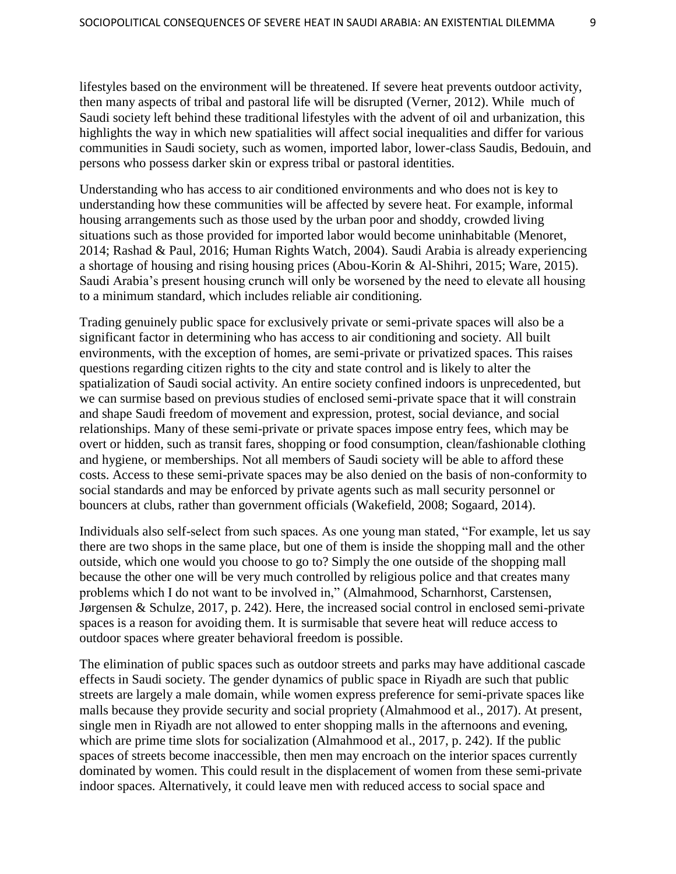lifestyles based on the environment will be threatened. If severe heat prevents outdoor activity, then many aspects of tribal and pastoral life will be disrupted (Verner, 2012). While much of Saudi society left behind these traditional lifestyles with the advent of oil and urbanization, this highlights the way in which new spatialities will affect social inequalities and differ for various communities in Saudi society, such as women, imported labor, lower-class Saudis, Bedouin, and persons who possess darker skin or express tribal or pastoral identities.

Understanding who has access to air conditioned environments and who does not is key to understanding how these communities will be affected by severe heat. For example, informal housing arrangements such as those used by the urban poor and shoddy, crowded living situations such as those provided for imported labor would become uninhabitable (Menoret, 2014; Rashad & Paul, 2016; Human Rights Watch, 2004). Saudi Arabia is already experiencing a shortage of housing and rising housing prices (Abou-Korin & Al-Shihri, 2015; Ware, 2015). Saudi Arabia's present housing crunch will only be worsened by the need to elevate all housing to a minimum standard, which includes reliable air conditioning.

Trading genuinely public space for exclusively private or semi-private spaces will also be a significant factor in determining who has access to air conditioning and society. All built environments, with the exception of homes, are semi-private or privatized spaces. This raises questions regarding citizen rights to the city and state control and is likely to alter the spatialization of Saudi social activity. An entire society confined indoors is unprecedented, but we can surmise based on previous studies of enclosed semi-private space that it will constrain and shape Saudi freedom of movement and expression, protest, social deviance, and social relationships. Many of these semi-private or private spaces impose entry fees, which may be overt or hidden, such as transit fares, shopping or food consumption, clean/fashionable clothing and hygiene, or memberships. Not all members of Saudi society will be able to afford these costs. Access to these semi-private spaces may be also denied on the basis of non-conformity to social standards and may be enforced by private agents such as mall security personnel or bouncers at clubs, rather than government officials (Wakefield, 2008; Sogaard, 2014).

Individuals also self-select from such spaces. As one young man stated, "For example, let us say there are two shops in the same place, but one of them is inside the shopping mall and the other outside, which one would you choose to go to? Simply the one outside of the shopping mall because the other one will be very much controlled by religious police and that creates many problems which I do not want to be involved in," (Almahmood, Scharnhorst, Carstensen, Jørgensen & Schulze, 2017, p. 242). Here, the increased social control in enclosed semi-private spaces is a reason for avoiding them. It is surmisable that severe heat will reduce access to outdoor spaces where greater behavioral freedom is possible.

The elimination of public spaces such as outdoor streets and parks may have additional cascade effects in Saudi society. The gender dynamics of public space in Riyadh are such that public streets are largely a male domain, while women express preference for semi-private spaces like malls because they provide security and social propriety (Almahmood et al., 2017). At present, single men in Riyadh are not allowed to enter shopping malls in the afternoons and evening, which are prime time slots for socialization (Almahmood et al., 2017, p. 242). If the public spaces of streets become inaccessible, then men may encroach on the interior spaces currently dominated by women. This could result in the displacement of women from these semi-private indoor spaces. Alternatively, it could leave men with reduced access to social space and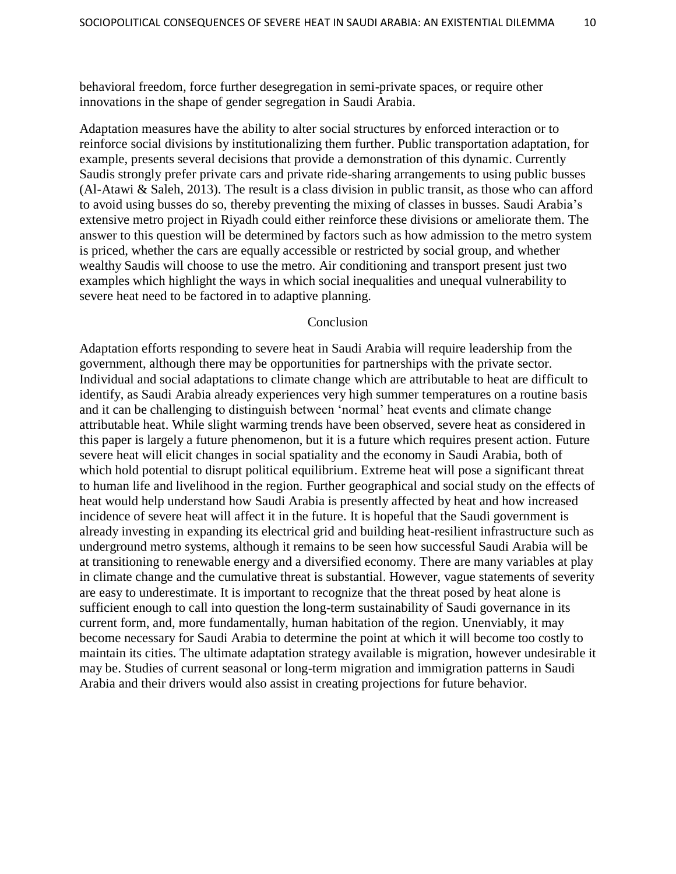behavioral freedom, force further desegregation in semi-private spaces, or require other innovations in the shape of gender segregation in Saudi Arabia.

Adaptation measures have the ability to alter social structures by enforced interaction or to reinforce social divisions by institutionalizing them further. Public transportation adaptation, for example, presents several decisions that provide a demonstration of this dynamic. Currently Saudis strongly prefer private cars and private ride-sharing arrangements to using public busses (Al-Atawi & Saleh, 2013). The result is a class division in public transit, as those who can afford to avoid using busses do so, thereby preventing the mixing of classes in busses. Saudi Arabia"s extensive metro project in Riyadh could either reinforce these divisions or ameliorate them. The answer to this question will be determined by factors such as how admission to the metro system is priced, whether the cars are equally accessible or restricted by social group, and whether wealthy Saudis will choose to use the metro. Air conditioning and transport present just two examples which highlight the ways in which social inequalities and unequal vulnerability to severe heat need to be factored in to adaptive planning.

#### Conclusion

Adaptation efforts responding to severe heat in Saudi Arabia will require leadership from the government, although there may be opportunities for partnerships with the private sector. Individual and social adaptations to climate change which are attributable to heat are difficult to identify, as Saudi Arabia already experiences very high summer temperatures on a routine basis and it can be challenging to distinguish between "normal" heat events and climate change attributable heat. While slight warming trends have been observed, severe heat as considered in this paper is largely a future phenomenon, but it is a future which requires present action. Future severe heat will elicit changes in social spatiality and the economy in Saudi Arabia, both of which hold potential to disrupt political equilibrium. Extreme heat will pose a significant threat to human life and livelihood in the region. Further geographical and social study on the effects of heat would help understand how Saudi Arabia is presently affected by heat and how increased incidence of severe heat will affect it in the future. It is hopeful that the Saudi government is already investing in expanding its electrical grid and building heat-resilient infrastructure such as underground metro systems, although it remains to be seen how successful Saudi Arabia will be at transitioning to renewable energy and a diversified economy. There are many variables at play in climate change and the cumulative threat is substantial. However, vague statements of severity are easy to underestimate. It is important to recognize that the threat posed by heat alone is sufficient enough to call into question the long-term sustainability of Saudi governance in its current form, and, more fundamentally, human habitation of the region. Unenviably, it may become necessary for Saudi Arabia to determine the point at which it will become too costly to maintain its cities. The ultimate adaptation strategy available is migration, however undesirable it may be. Studies of current seasonal or long-term migration and immigration patterns in Saudi Arabia and their drivers would also assist in creating projections for future behavior.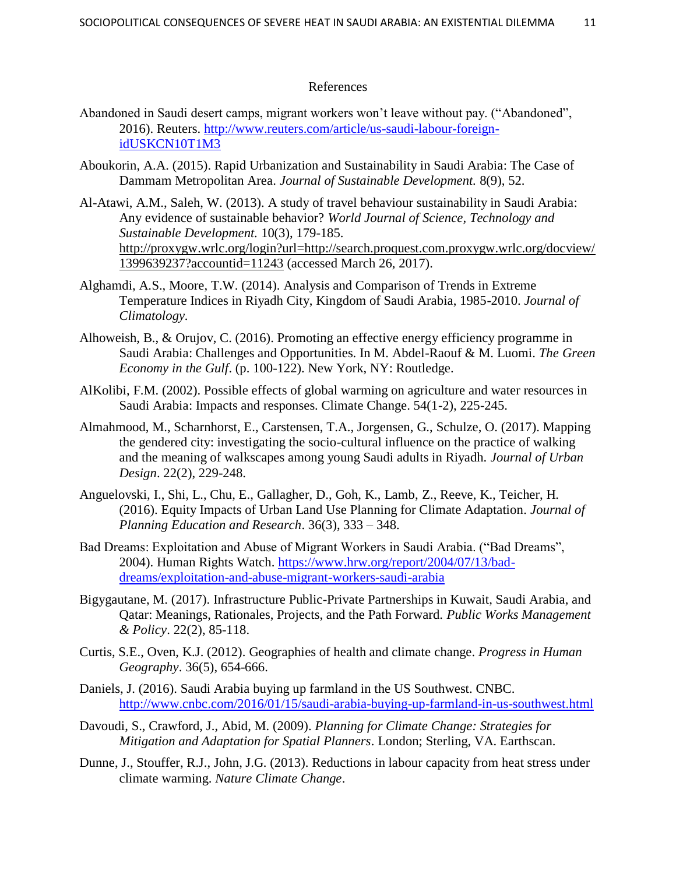## References

- Abandoned in Saudi desert camps, migrant workers won"t leave without pay. ("Abandoned", 2016). Reuters. [http://www.reuters.com/article/us-saudi-labour-foreign](http://www.reuters.com/article/us-saudi-labour-foreign-idUSKCN10T1M3)[idUSKCN10T1M3](http://www.reuters.com/article/us-saudi-labour-foreign-idUSKCN10T1M3)
- Aboukorin, A.A. (2015). Rapid Urbanization and Sustainability in Saudi Arabia: The Case of Dammam Metropolitan Area. *Journal of Sustainable Development.* 8(9), 52.
- Al-Atawi, A.M., Saleh, W. (2013). A study of travel behaviour sustainability in Saudi Arabia: Any evidence of sustainable behavior? *World Journal of Science, Technology and Sustainable Development.* 10(3), 179-185. [http://proxygw.wrlc.org/login?url=http://search.proquest.com.proxygw.wrlc.org/docview/](http://proxygw.wrlc.org/login?url=http://search.proquest.com.proxygw.wrlc.org/docview/1399639237?accountid=11243%20) [1399639237?accountid=11243](http://proxygw.wrlc.org/login?url=http://search.proquest.com.proxygw.wrlc.org/docview/1399639237?accountid=11243%20) (accessed March 26, 2017).
- Alghamdi, A.S., Moore, T.W. (2014). Analysis and Comparison of Trends in Extreme Temperature Indices in Riyadh City, Kingdom of Saudi Arabia, 1985-2010. *Journal of Climatology.*
- Alhoweish, B., & Orujov, C. (2016). Promoting an effective energy efficiency programme in Saudi Arabia: Challenges and Opportunities. In M. Abdel-Raouf & M. Luomi. *The Green Economy in the Gulf*. (p. 100-122). New York, NY: Routledge.
- AlKolibi, F.M. (2002). Possible effects of global warming on agriculture and water resources in Saudi Arabia: Impacts and responses. Climate Change. 54(1-2), 225-245.
- Almahmood, M., Scharnhorst, E., Carstensen, T.A., Jorgensen, G., Schulze, O. (2017). Mapping the gendered city: investigating the socio-cultural influence on the practice of walking and the meaning of walkscapes among young Saudi adults in Riyadh. *Journal of Urban Design*. 22(2), 229-248.
- Anguelovski, I., Shi, L., Chu, E., Gallagher, D., Goh, K., Lamb, Z., Reeve, K., Teicher, H. (2016). Equity Impacts of Urban Land Use Planning for Climate Adaptation*. Journal of Planning Education and Research*. 36(3), 333 – 348.
- Bad Dreams: Exploitation and Abuse of Migrant Workers in Saudi Arabia. ("Bad Dreams", 2004). Human Rights Watch. [https://www.hrw.org/report/2004/07/13/bad](https://www.hrw.org/report/2004/07/13/bad-dreams/exploitation-and-abuse-migrant-workers-saudi-arabia)[dreams/exploitation-and-abuse-migrant-workers-saudi-arabia](https://www.hrw.org/report/2004/07/13/bad-dreams/exploitation-and-abuse-migrant-workers-saudi-arabia)
- Bigygautane, M. (2017). Infrastructure Public-Private Partnerships in Kuwait, Saudi Arabia, and Qatar: Meanings, Rationales, Projects, and the Path Forward. *Public Works Management & Policy*. 22(2), 85-118.
- Curtis, S.E., Oven, K.J. (2012). Geographies of health and climate change. *Progress in Human Geography*. 36(5), 654-666.
- Daniels, J. (2016). Saudi Arabia buying up farmland in the US Southwest. CNBC. <http://www.cnbc.com/2016/01/15/saudi-arabia-buying-up-farmland-in-us-southwest.html>
- Davoudi, S., Crawford, J., Abid, M. (2009). *Planning for Climate Change: Strategies for Mitigation and Adaptation for Spatial Planners*. London; Sterling, VA. Earthscan.
- Dunne, J., Stouffer, R.J., John, J.G. (2013). Reductions in labour capacity from heat stress under climate warming. *Nature Climate Change*.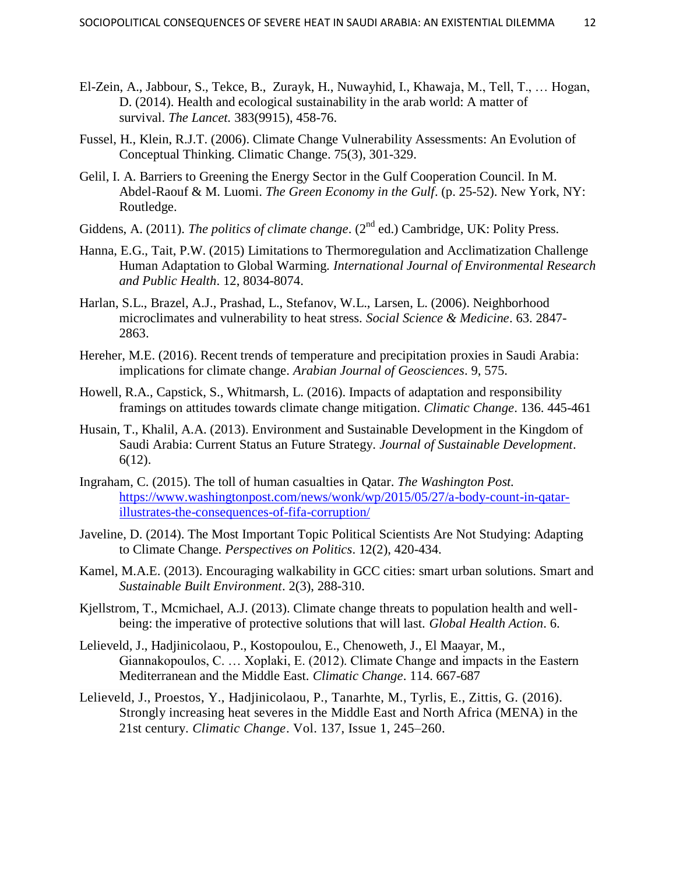- El-Zein, A., Jabbour, S., Tekce, B., Zurayk, H., Nuwayhid, I., Khawaja, M., Tell, T., … Hogan, D. (2014). Health and ecological sustainability in the arab world: A matter of survival. *The Lancet.* 383(9915), 458-76.
- Fussel, H., Klein, R.J.T. (2006). Climate Change Vulnerability Assessments: An Evolution of Conceptual Thinking. Climatic Change. 75(3), 301-329.
- Gelil, I. A. Barriers to Greening the Energy Sector in the Gulf Cooperation Council. In M. Abdel-Raouf & M. Luomi. *The Green Economy in the Gulf*. (p. 25-52). New York, NY: Routledge.
- Giddens, A. (2011). *The politics of climate change*. (2<sup>nd</sup> ed.) Cambridge, UK: Polity Press.
- Hanna, E.G., Tait, P.W. (2015) Limitations to Thermoregulation and Acclimatization Challenge Human Adaptation to Global Warming. *International Journal of Environmental Research and Public Health*. 12, 8034-8074.
- Harlan, S.L., Brazel, A.J., Prashad, L., Stefanov, W.L., Larsen, L. (2006). Neighborhood microclimates and vulnerability to heat stress. *Social Science & Medicine*. 63. 2847- 2863.
- Hereher, M.E. (2016). Recent trends of temperature and precipitation proxies in Saudi Arabia: implications for climate change. *Arabian Journal of Geosciences*. 9, 575.
- Howell, R.A., Capstick, S., Whitmarsh, L. (2016). Impacts of adaptation and responsibility framings on attitudes towards climate change mitigation. *Climatic Change*. 136. 445-461
- Husain, T., Khalil, A.A. (2013). Environment and Sustainable Development in the Kingdom of Saudi Arabia: Current Status an Future Strategy. *Journal of Sustainable Development*. 6(12).
- Ingraham, C. (2015). The toll of human casualties in Qatar. *The Washington Post.* [https://www.washingtonpost.com/news/wonk/wp/2015/05/27/a-body-count-in-qatar](https://www.washingtonpost.com/news/wonk/wp/2015/05/27/a-body-count-in-qatar-illustrates-the-consequences-of-fifa-corruption/)[illustrates-the-consequences-of-fifa-corruption/](https://www.washingtonpost.com/news/wonk/wp/2015/05/27/a-body-count-in-qatar-illustrates-the-consequences-of-fifa-corruption/)
- Javeline, D. (2014). The Most Important Topic Political Scientists Are Not Studying: Adapting to Climate Change*. Perspectives on Politics*. 12(2), 420-434.
- Kamel, M.A.E. (2013). Encouraging walkability in GCC cities: smart urban solutions. Smart and *Sustainable Built Environment*. 2(3), 288-310.
- Kjellstrom, T., Mcmichael, A.J. (2013). Climate change threats to population health and wellbeing: the imperative of protective solutions that will last. *Global Health Action*. 6.
- Lelieveld, J., Hadjinicolaou, P., Kostopoulou, E., Chenoweth, J., El Maayar, M., Giannakopoulos, C. … Xoplaki, E. (2012). Climate Change and impacts in the Eastern Mediterranean and the Middle East. *Climatic Change*. 114. 667-687
- Lelieveld, J., Proestos, Y., Hadjinicolaou, P., Tanarhte, M., Tyrlis, E., Zittis, G. (2016). Strongly increasing heat severes in the Middle East and North Africa (MENA) in the 21st century. *Climatic Change*. Vol. 137, [Issue](https://link-springer-com.proxygw.wrlc.org/journal/10584/137/1/page/1) 1, 245–260.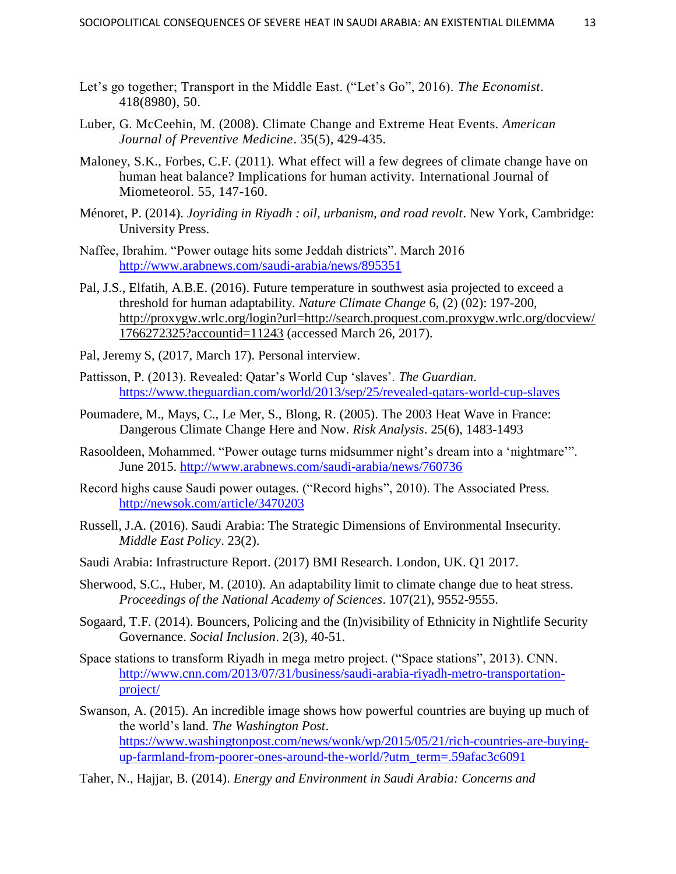- Let's go together; Transport in the Middle East. ("Let's Go", 2016). *The Economist*. 418(8980), 50.
- Luber, G. McCeehin, M. (2008). Climate Change and Extreme Heat Events. *American Journal of Preventive Medicine*. 35(5), 429-435.
- Maloney, S.K., Forbes, C.F. (2011). What effect will a few degrees of climate change have on human heat balance? Implications for human activity. International Journal of Miometeorol. 55, 147-160.
- Ménoret, P. (2014). *Joyriding in Riyadh : oil, urbanism, and road revolt*. New York, Cambridge: University Press.
- Naffee, Ibrahim. "Power outage hits some Jeddah districts". March 2016 <http://www.arabnews.com/saudi-arabia/news/895351>
- Pal, J.S., Elfatih, A.B.E. (2016). Future temperature in southwest asia projected to exceed a threshold for human adaptability. *Nature Climate Change* 6, (2) (02): 197-200, [http://proxygw.wrlc.org/login?url=http://search.proquest.com.proxygw.wrlc.org/docview/](http://proxygw.wrlc.org/login?url=http://search.proquest.com.proxygw.wrlc.org/docview/1766272325?accountid=11243%20) [1766272325?accountid=11243](http://proxygw.wrlc.org/login?url=http://search.proquest.com.proxygw.wrlc.org/docview/1766272325?accountid=11243%20) (accessed March 26, 2017).
- Pal, Jeremy S, (2017, March 17). Personal interview.
- Pattisson, P. (2013). Revealed: Qatar"s World Cup "slaves". *The Guardian*. <https://www.theguardian.com/world/2013/sep/25/revealed-qatars-world-cup-slaves>
- Poumadere, M., Mays, C., Le Mer, S., Blong, R. (2005). The 2003 Heat Wave in France: Dangerous Climate Change Here and Now. *Risk Analysis*. 25(6), 1483-1493
- Rasooldeen, Mohammed. "Power outage turns midsummer night's dream into a 'nightmare'". June 2015.<http://www.arabnews.com/saudi-arabia/news/760736>
- Record highs cause Saudi power outages. ("Record highs", 2010). The Associated Press. <http://newsok.com/article/3470203>
- Russell, J.A. (2016). Saudi Arabia: The Strategic Dimensions of Environmental Insecurity. *Middle East Policy*. 23(2).
- Saudi Arabia: Infrastructure Report. (2017) BMI Research. London, UK. Q1 2017.
- Sherwood, S.C., Huber, M. (2010). An adaptability limit to climate change due to heat stress. *Proceedings of the National Academy of Sciences*. 107(21), 9552-9555.
- Sogaard, T.F. (2014). Bouncers, Policing and the (In)visibility of Ethnicity in Nightlife Security Governance. *Social Inclusion*. 2(3), 40-51.
- Space stations to transform Riyadh in mega metro project. ("Space stations", 2013). CNN. [http://www.cnn.com/2013/07/31/business/saudi-arabia-riyadh-metro-transportation](http://www.cnn.com/2013/07/31/business/saudi-arabia-riyadh-metro-transportation-project/)[project/](http://www.cnn.com/2013/07/31/business/saudi-arabia-riyadh-metro-transportation-project/)
- Swanson, A. (2015). An incredible image shows how powerful countries are buying up much of the world"s land. *The Washington Post*. [https://www.washingtonpost.com/news/wonk/wp/2015/05/21/rich-countries-are-buying](https://www.washingtonpost.com/news/wonk/wp/2015/05/21/rich-countries-are-buying-up-farmland-from-poorer-ones-around-the-world/?utm_term=.59afac3c6091)[up-farmland-from-poorer-ones-around-the-world/?utm\\_term=.59afac3c6091](https://www.washingtonpost.com/news/wonk/wp/2015/05/21/rich-countries-are-buying-up-farmland-from-poorer-ones-around-the-world/?utm_term=.59afac3c6091)

Taher, N., Hajjar, B. (2014). *Energy and Environment in Saudi Arabia: Concerns and*